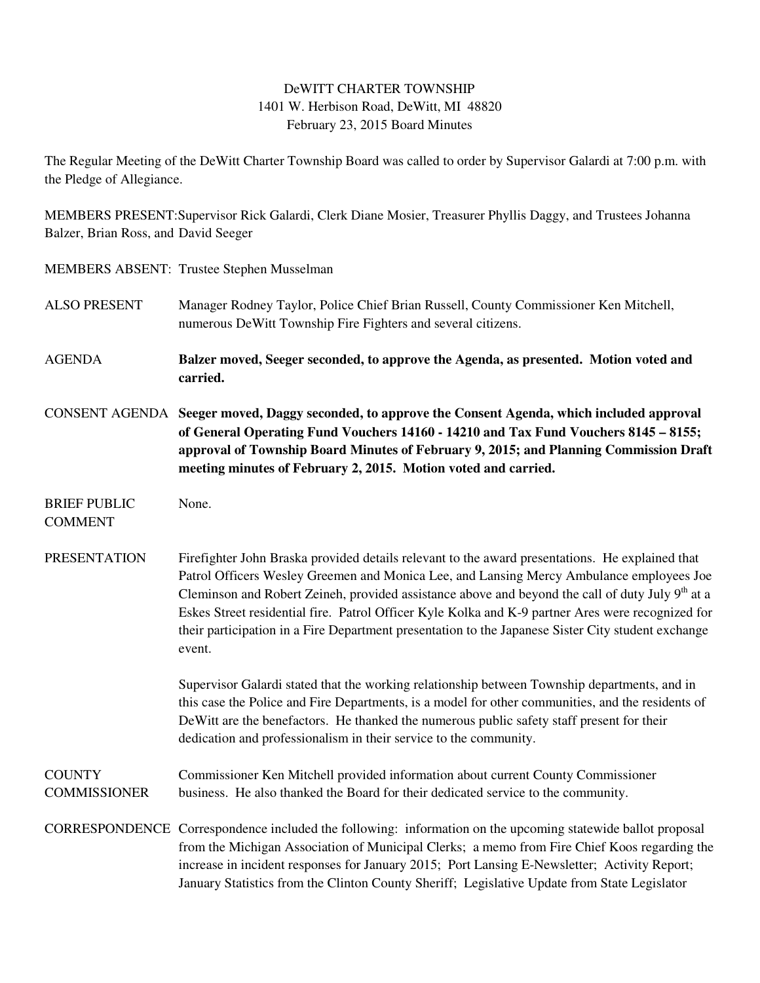## DeWITT CHARTER TOWNSHIP 1401 W. Herbison Road, DeWitt, MI 48820 February 23, 2015 Board Minutes

The Regular Meeting of the DeWitt Charter Township Board was called to order by Supervisor Galardi at 7:00 p.m. with the Pledge of Allegiance.

MEMBERS PRESENT:Supervisor Rick Galardi, Clerk Diane Mosier, Treasurer Phyllis Daggy, and Trustees Johanna Balzer, Brian Ross, and David Seeger

MEMBERS ABSENT: Trustee Stephen Musselman

- ALSO PRESENT Manager Rodney Taylor, Police Chief Brian Russell, County Commissioner Ken Mitchell, numerous DeWitt Township Fire Fighters and several citizens.
- AGENDA **Balzer moved, Seeger seconded, to approve the Agenda, as presented. Motion voted and carried.**
- CONSENT AGENDA **Seeger moved, Daggy seconded, to approve the Consent Agenda, which included approval of General Operating Fund Vouchers 14160 - 14210 and Tax Fund Vouchers 8145 – 8155; approval of Township Board Minutes of February 9, 2015; and Planning Commission Draft meeting minutes of February 2, 2015. Motion voted and carried.**
- BRIEF PUBLIC None. COMMENT
- PRESENTATION Firefighter John Braska provided details relevant to the award presentations. He explained that Patrol Officers Wesley Greemen and Monica Lee, and Lansing Mercy Ambulance employees Joe Cleminson and Robert Zeineh, provided assistance above and beyond the call of duty July 9<sup>th</sup> at a Eskes Street residential fire. Patrol Officer Kyle Kolka and K-9 partner Ares were recognized for their participation in a Fire Department presentation to the Japanese Sister City student exchange event.

 Supervisor Galardi stated that the working relationship between Township departments, and in this case the Police and Fire Departments, is a model for other communities, and the residents of DeWitt are the benefactors. He thanked the numerous public safety staff present for their dedication and professionalism in their service to the community.

COUNTY Commissioner Ken Mitchell provided information about current County Commissioner COMMISSIONER business. He also thanked the Board for their dedicated service to the community.

CORRESPONDENCE Correspondence included the following: information on the upcoming statewide ballot proposal from the Michigan Association of Municipal Clerks; a memo from Fire Chief Koos regarding the increase in incident responses for January 2015; Port Lansing E-Newsletter; Activity Report; January Statistics from the Clinton County Sheriff; Legislative Update from State Legislator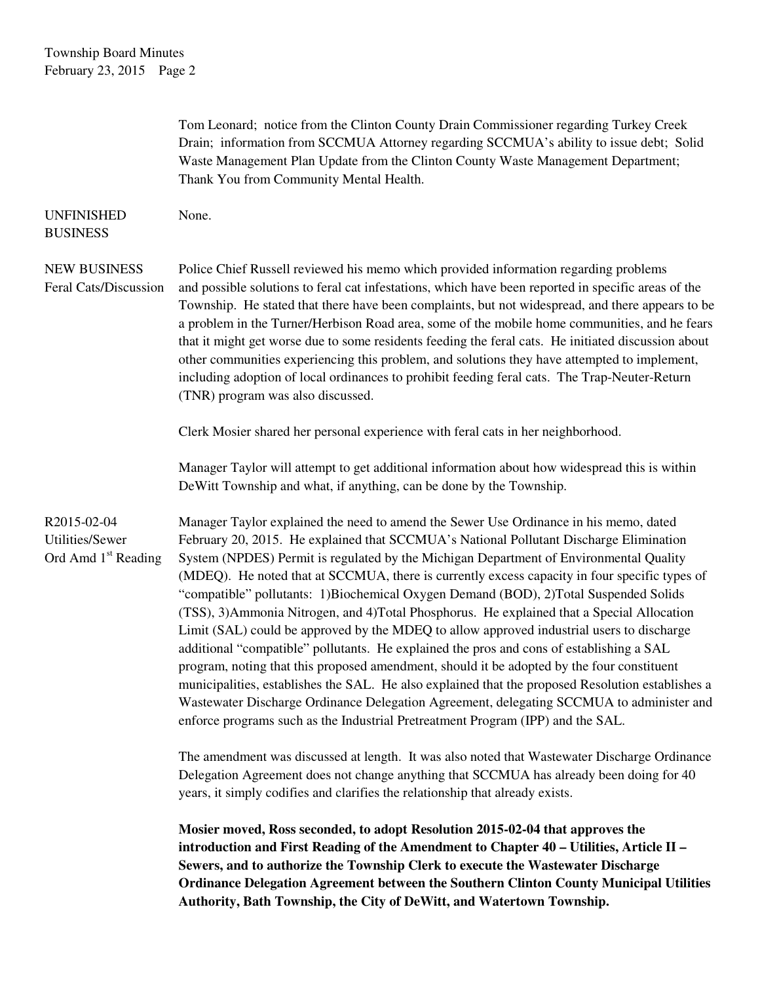|                                                                          | Tom Leonard; notice from the Clinton County Drain Commissioner regarding Turkey Creek<br>Drain; information from SCCMUA Attorney regarding SCCMUA's ability to issue debt; Solid<br>Waste Management Plan Update from the Clinton County Waste Management Department;<br>Thank You from Community Mental Health.                                                                                                                                                                                                                                                                                                                                                                                                                                                                                                                                                                                                                                                                                                                                                                                                                             |
|--------------------------------------------------------------------------|----------------------------------------------------------------------------------------------------------------------------------------------------------------------------------------------------------------------------------------------------------------------------------------------------------------------------------------------------------------------------------------------------------------------------------------------------------------------------------------------------------------------------------------------------------------------------------------------------------------------------------------------------------------------------------------------------------------------------------------------------------------------------------------------------------------------------------------------------------------------------------------------------------------------------------------------------------------------------------------------------------------------------------------------------------------------------------------------------------------------------------------------|
| <b>UNFINISHED</b><br><b>BUSINESS</b>                                     | None.                                                                                                                                                                                                                                                                                                                                                                                                                                                                                                                                                                                                                                                                                                                                                                                                                                                                                                                                                                                                                                                                                                                                        |
| <b>NEW BUSINESS</b><br>Feral Cats/Discussion                             | Police Chief Russell reviewed his memo which provided information regarding problems<br>and possible solutions to feral cat infestations, which have been reported in specific areas of the<br>Township. He stated that there have been complaints, but not widespread, and there appears to be<br>a problem in the Turner/Herbison Road area, some of the mobile home communities, and he fears<br>that it might get worse due to some residents feeding the feral cats. He initiated discussion about<br>other communities experiencing this problem, and solutions they have attempted to implement,<br>including adoption of local ordinances to prohibit feeding feral cats. The Trap-Neuter-Return<br>(TNR) program was also discussed.                                                                                                                                                                                                                                                                                                                                                                                                |
|                                                                          | Clerk Mosier shared her personal experience with feral cats in her neighborhood.                                                                                                                                                                                                                                                                                                                                                                                                                                                                                                                                                                                                                                                                                                                                                                                                                                                                                                                                                                                                                                                             |
|                                                                          | Manager Taylor will attempt to get additional information about how widespread this is within<br>DeWitt Township and what, if anything, can be done by the Township.                                                                                                                                                                                                                                                                                                                                                                                                                                                                                                                                                                                                                                                                                                                                                                                                                                                                                                                                                                         |
| R2015-02-04<br><b>Utilities/Sewer</b><br>Ord Amd 1 <sup>st</sup> Reading | Manager Taylor explained the need to amend the Sewer Use Ordinance in his memo, dated<br>February 20, 2015. He explained that SCCMUA's National Pollutant Discharge Elimination<br>System (NPDES) Permit is regulated by the Michigan Department of Environmental Quality<br>(MDEQ). He noted that at SCCMUA, there is currently excess capacity in four specific types of<br>"compatible" pollutants: 1)Biochemical Oxygen Demand (BOD), 2)Total Suspended Solids<br>(TSS), 3) Ammonia Nitrogen, and 4) Total Phosphorus. He explained that a Special Allocation<br>Limit (SAL) could be approved by the MDEQ to allow approved industrial users to discharge<br>additional "compatible" pollutants. He explained the pros and cons of establishing a SAL<br>program, noting that this proposed amendment, should it be adopted by the four constituent<br>municipalities, establishes the SAL. He also explained that the proposed Resolution establishes a<br>Wastewater Discharge Ordinance Delegation Agreement, delegating SCCMUA to administer and<br>enforce programs such as the Industrial Pretreatment Program (IPP) and the SAL. |
|                                                                          | The amendment was discussed at length. It was also noted that Wastewater Discharge Ordinance<br>Delegation Agreement does not change anything that SCCMUA has already been doing for 40<br>years, it simply codifies and clarifies the relationship that already exists.                                                                                                                                                                                                                                                                                                                                                                                                                                                                                                                                                                                                                                                                                                                                                                                                                                                                     |
|                                                                          | Mosier moved, Ross seconded, to adopt Resolution 2015-02-04 that approves the<br>introduction and First Reading of the Amendment to Chapter 40 - Utilities, Article II -<br>Sewers, and to authorize the Township Clerk to execute the Wastewater Discharge<br>Ordinance Delegation Agreement between the Southern Clinton County Municipal Utilities<br>Authority, Bath Township, the City of DeWitt, and Watertown Township.                                                                                                                                                                                                                                                                                                                                                                                                                                                                                                                                                                                                                                                                                                               |